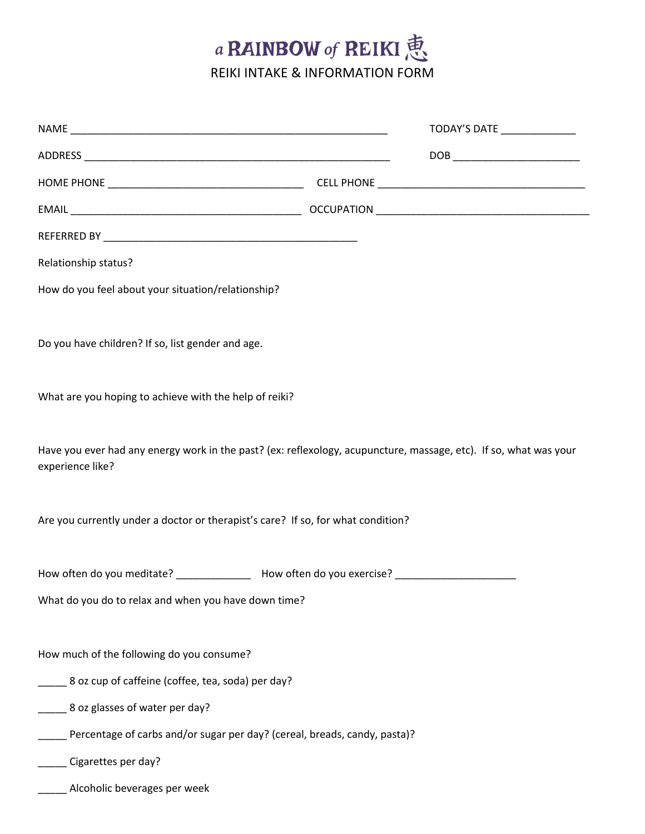## a RAINBOW of REIKI 恵

REIKI INTAKE & INFORMATION FORM

|                                                                                                                                                             | TODAY'S DATE ______________ |  |
|-------------------------------------------------------------------------------------------------------------------------------------------------------------|-----------------------------|--|
|                                                                                                                                                             |                             |  |
|                                                                                                                                                             |                             |  |
|                                                                                                                                                             |                             |  |
|                                                                                                                                                             |                             |  |
| Relationship status?                                                                                                                                        |                             |  |
| How do you feel about your situation/relationship?                                                                                                          |                             |  |
|                                                                                                                                                             |                             |  |
| Do you have children? If so, list gender and age.                                                                                                           |                             |  |
|                                                                                                                                                             |                             |  |
| What are you hoping to achieve with the help of reiki?                                                                                                      |                             |  |
|                                                                                                                                                             |                             |  |
| Have you ever had any energy work in the past? (ex: reflexology, acupuncture, massage, etc). If so, what was your                                           |                             |  |
| experience like?                                                                                                                                            |                             |  |
|                                                                                                                                                             |                             |  |
| Are you currently under a doctor or therapist's care? If so, for what condition?                                                                            |                             |  |
|                                                                                                                                                             |                             |  |
| How often do you meditate? _______________ How often do you exercise? _____________________________<br>What do you do to relax and when you have down time? |                             |  |
|                                                                                                                                                             |                             |  |
| How much of the following do you consume?                                                                                                                   |                             |  |
| 8 oz cup of caffeine (coffee, tea, soda) per day?                                                                                                           |                             |  |
| 8 oz glasses of water per day?                                                                                                                              |                             |  |
| Percentage of carbs and/or sugar per day? (cereal, breads, candy, pasta)?                                                                                   |                             |  |
| Cigarettes per day?                                                                                                                                         |                             |  |
| Alcoholic beverages per week                                                                                                                                |                             |  |
|                                                                                                                                                             |                             |  |